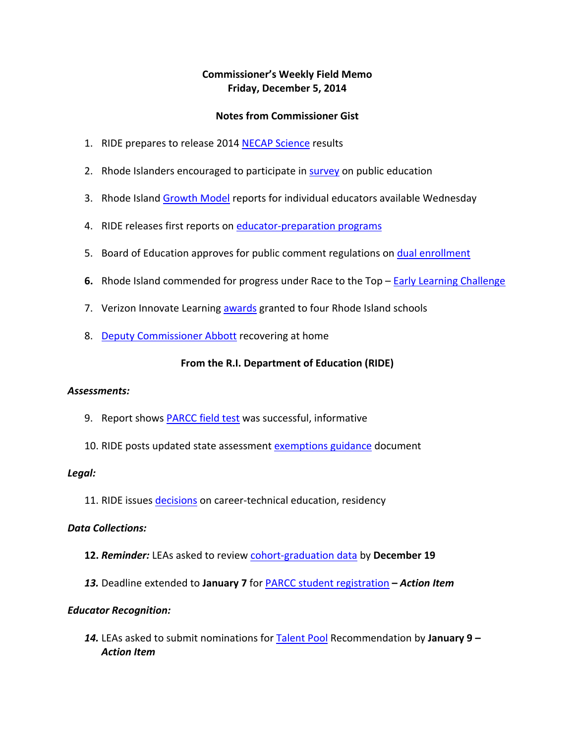## **Commissioner's Weekly Field Memo Friday, December 5, 2014**

### **Notes from Commissioner Gist**

- 1. RIDE prepares to release 2014 NECAP Science results
- 2. Rhode Islanders encouraged to participate in survey on public education
- 3. Rhode Island Growth Model reports for individual educators available Wednesday
- 4. RIDE releases first reports on educator-preparation programs
- 5. Board of Education approves for public comment regulations on dual enrollment
- **6.** Rhode Island commended for progress under Race to the Top Early Learning Challenge
- 7. Verizon Innovate Learning awards granted to four Rhode Island schools
- 8. Deputy Commissioner Abbott recovering at home

### **From the R.I. Department of Education (RIDE)**

#### *Assessments:*

- 9. Report shows PARCC field test was successful, informative
- 10. RIDE posts updated state assessment exemptions guidance document

#### *Legal:*

11. RIDE issues decisions on career-technical education, residency

### *Data Collections:*

- **12.** *Reminder:* LEAs asked to review cohort‐graduation data by **December 19**
- *13.* Deadline extended to **January 7** for PARCC student registration **–** *Action Item*

#### *Educator Recognition:*

*14.* LEAs asked to submit nominations for Talent Pool Recommendation by **January 9** *– Action Item*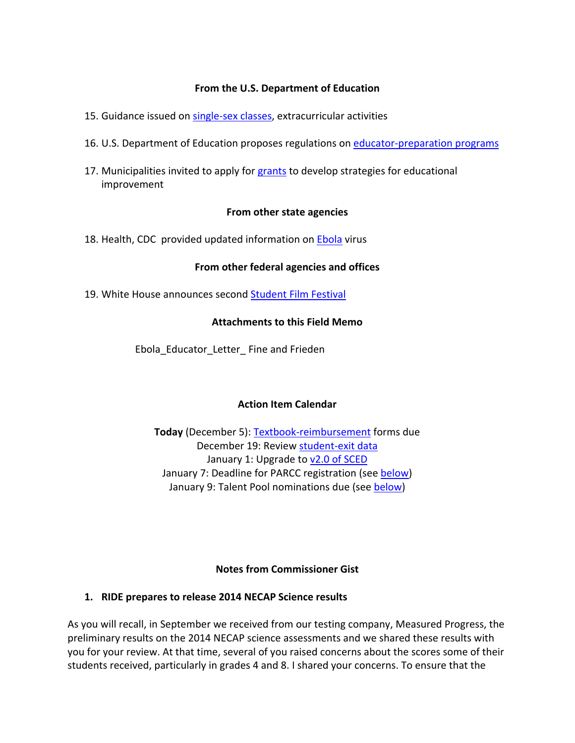#### **From the U.S. Department of Education**

- 15. Guidance issued on single-sex classes, extracurricular activities
- 16. U.S. Department of Education proposes regulations on educator-preparation programs
- 17. Municipalities invited to apply for grants to develop strategies for educational improvement

#### **From other state agencies**

18. Health, CDC provided updated information on Ebola virus

#### **From other federal agencies and offices**

19. White House announces second Student Film Festival

#### **Attachments to this Field Memo**

Ebola\_Educator\_Letter\_ Fine and Frieden

### **Action Item Calendar**

**Today** (December 5): Textbook‐reimbursement forms due December 19: Review student‐exit data January 1: Upgrade to v2.0 of SCED January 7: Deadline for PARCC registration (see below) January 9: Talent Pool nominations due (see below)

### **Notes from Commissioner Gist**

### **1. RIDE prepares to release 2014 NECAP Science results**

As you will recall, in September we received from our testing company, Measured Progress, the preliminary results on the 2014 NECAP science assessments and we shared these results with you for your review. At that time, several of you raised concerns about the scores some of their students received, particularly in grades 4 and 8. I shared your concerns. To ensure that the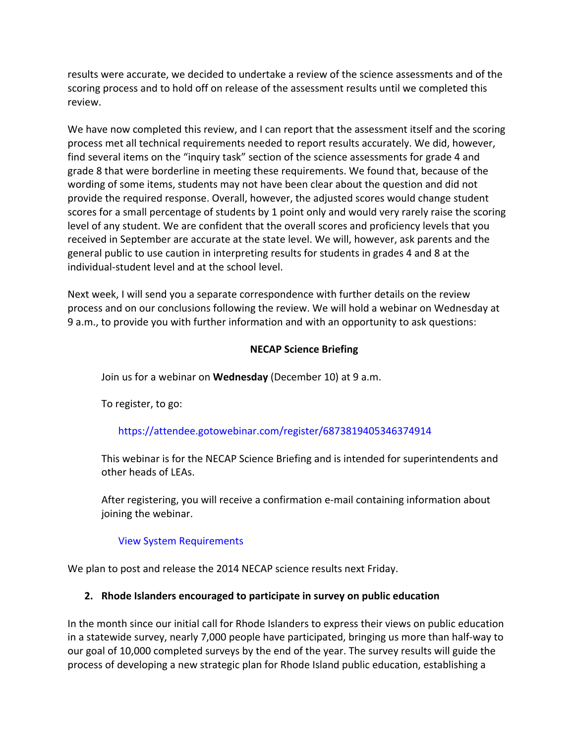results were accurate, we decided to undertake a review of the science assessments and of the scoring process and to hold off on release of the assessment results until we completed this review.

We have now completed this review, and I can report that the assessment itself and the scoring process met all technical requirements needed to report results accurately. We did, however, find several items on the "inquiry task" section of the science assessments for grade 4 and grade 8 that were borderline in meeting these requirements. We found that, because of the wording of some items, students may not have been clear about the question and did not provide the required response. Overall, however, the adjusted scores would change student scores for a small percentage of students by 1 point only and would very rarely raise the scoring level of any student. We are confident that the overall scores and proficiency levels that you received in September are accurate at the state level. We will, however, ask parents and the general public to use caution in interpreting results for students in grades 4 and 8 at the individual‐student level and at the school level.

Next week, I will send you a separate correspondence with further details on the review process and on our conclusions following the review. We will hold a webinar on Wednesday at 9 a.m., to provide you with further information and with an opportunity to ask questions:

## **NECAP Science Briefing**

Join us for a webinar on **Wednesday** (December 10) at 9 a.m.

To register, to go:

## https://attendee.gotowebinar.com/register/6873819405346374914

This webinar is for the NECAP Science Briefing and is intended for superintendents and other heads of LEAs.

After registering, you will receive a confirmation e‐mail containing information about joining the webinar.

### View System Requirements

We plan to post and release the 2014 NECAP science results next Friday.

### **2. Rhode Islanders encouraged to participate in survey on public education**

In the month since our initial call for Rhode Islanders to express their views on public education in a statewide survey, nearly 7,000 people have participated, bringing us more than half‐way to our goal of 10,000 completed surveys by the end of the year. The survey results will guide the process of developing a new strategic plan for Rhode Island public education, establishing a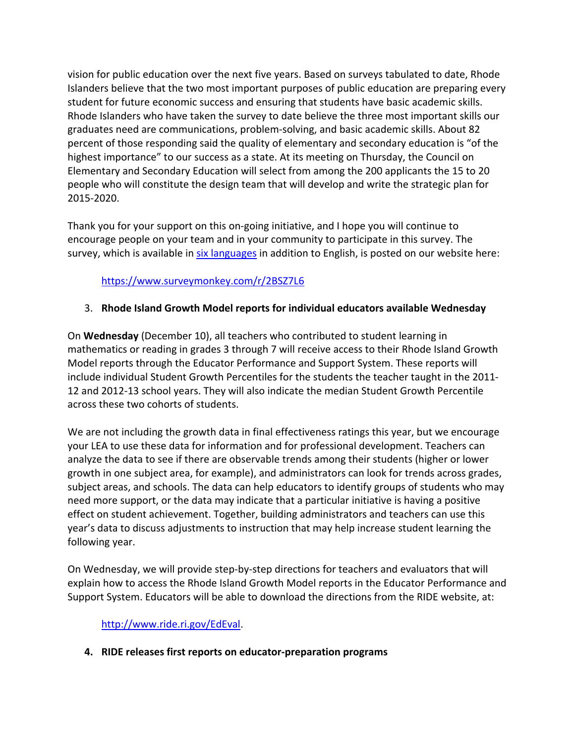vision for public education over the next five years. Based on surveys tabulated to date, Rhode Islanders believe that the two most important purposes of public education are preparing every student for future economic success and ensuring that students have basic academic skills. Rhode Islanders who have taken the survey to date believe the three most important skills our graduates need are communications, problem‐solving, and basic academic skills. About 82 percent of those responding said the quality of elementary and secondary education is "of the highest importance" to our success as a state. At its meeting on Thursday, the Council on Elementary and Secondary Education will select from among the 200 applicants the 15 to 20 people who will constitute the design team that will develop and write the strategic plan for 2015‐2020.

Thank you for your support on this on‐going initiative, and I hope you will continue to encourage people on your team and in your community to participate in this survey. The survey, which is available in six languages in addition to English, is posted on our website here:

# https://www.surveymonkey.com/r/2BSZ7L6

## 3. **Rhode Island Growth Model reports for individual educators available Wednesday**

On **Wednesday** (December 10), all teachers who contributed to student learning in mathematics or reading in grades 3 through 7 will receive access to their Rhode Island Growth Model reports through the Educator Performance and Support System. These reports will include individual Student Growth Percentiles for the students the teacher taught in the 2011‐ 12 and 2012-13 school years. They will also indicate the median Student Growth Percentile across these two cohorts of students.

We are not including the growth data in final effectiveness ratings this year, but we encourage your LEA to use these data for information and for professional development. Teachers can analyze the data to see if there are observable trends among their students (higher or lower growth in one subject area, for example), and administrators can look for trends across grades, subject areas, and schools. The data can help educators to identify groups of students who may need more support, or the data may indicate that a particular initiative is having a positive effect on student achievement. Together, building administrators and teachers can use this year's data to discuss adjustments to instruction that may help increase student learning the following year.

On Wednesday, we will provide step-by-step directions for teachers and evaluators that will explain how to access the Rhode Island Growth Model reports in the Educator Performance and Support System. Educators will be able to download the directions from the RIDE website, at:

## http://www.ride.ri.gov/EdEval.

**4. RIDE releases first reports on educator‐preparation programs**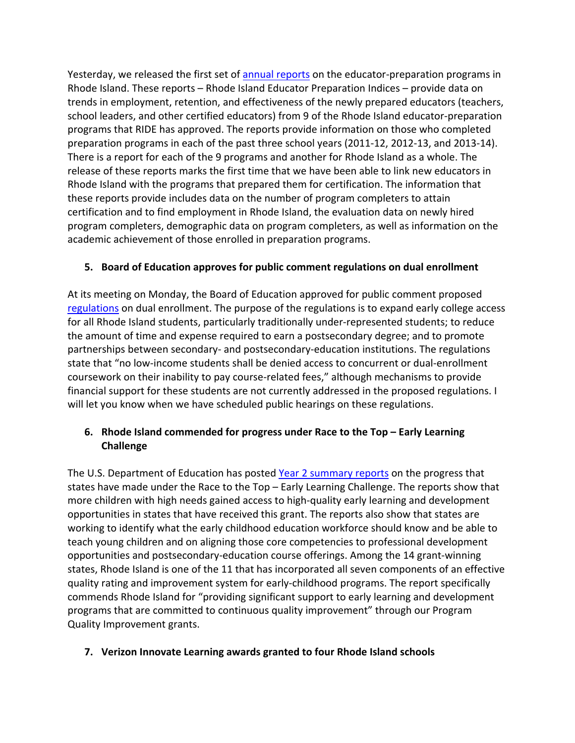Yesterday, we released the first set of annual reports on the educator-preparation programs in Rhode Island. These reports – Rhode Island Educator Preparation Indices – provide data on trends in employment, retention, and effectiveness of the newly prepared educators (teachers, school leaders, and other certified educators) from 9 of the Rhode Island educator‐preparation programs that RIDE has approved. The reports provide information on those who completed preparation programs in each of the past three school years (2011‐12, 2012‐13, and 2013‐14). There is a report for each of the 9 programs and another for Rhode Island as a whole. The release of these reports marks the first time that we have been able to link new educators in Rhode Island with the programs that prepared them for certification. The information that these reports provide includes data on the number of program completers to attain certification and to find employment in Rhode Island, the evaluation data on newly hired program completers, demographic data on program completers, as well as information on the academic achievement of those enrolled in preparation programs.

## **5. Board of Education approves for public comment regulations on dual enrollment**

At its meeting on Monday, the Board of Education approved for public comment proposed regulations on dual enrollment. The purpose of the regulations is to expand early college access for all Rhode Island students, particularly traditionally under‐represented students; to reduce the amount of time and expense required to earn a postsecondary degree; and to promote partnerships between secondary‐ and postsecondary‐education institutions. The regulations state that "no low‐income students shall be denied access to concurrent or dual‐enrollment coursework on their inability to pay course‐related fees," although mechanisms to provide financial support for these students are not currently addressed in the proposed regulations. I will let you know when we have scheduled public hearings on these regulations.

## **6. Rhode Island commended for progress under Race to the Top – Early Learning Challenge**

The U.S. Department of Education has posted Year 2 summary reports on the progress that states have made under the Race to the Top – Early Learning Challenge. The reports show that more children with high needs gained access to high-quality early learning and development opportunities in states that have received this grant. The reports also show that states are working to identify what the early childhood education workforce should know and be able to teach young children and on aligning those core competencies to professional development opportunities and postsecondary‐education course offerings. Among the 14 grant‐winning states, Rhode Island is one of the 11 that has incorporated all seven components of an effective quality rating and improvement system for early‐childhood programs. The report specifically commends Rhode Island for "providing significant support to early learning and development programs that are committed to continuous quality improvement" through our Program Quality Improvement grants.

## **7. Verizon Innovate Learning awards granted to four Rhode Island schools**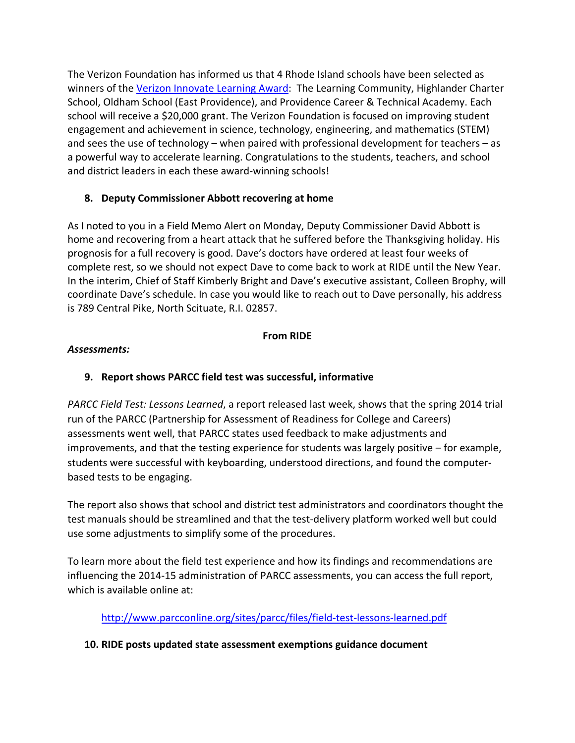The Verizon Foundation has informed us that 4 Rhode Island schools have been selected as winners of the Verizon Innovate Learning Award: The Learning Community, Highlander Charter School, Oldham School (East Providence), and Providence Career & Technical Academy. Each school will receive a \$20,000 grant. The Verizon Foundation is focused on improving student engagement and achievement in science, technology, engineering, and mathematics (STEM) and sees the use of technology – when paired with professional development for teachers – as a powerful way to accelerate learning. Congratulations to the students, teachers, and school and district leaders in each these award‐winning schools!

# **8. Deputy Commissioner Abbott recovering at home**

As I noted to you in a Field Memo Alert on Monday, Deputy Commissioner David Abbott is home and recovering from a heart attack that he suffered before the Thanksgiving holiday. His prognosis for a full recovery is good. Dave's doctors have ordered at least four weeks of complete rest, so we should not expect Dave to come back to work at RIDE until the New Year. In the interim, Chief of Staff Kimberly Bright and Dave's executive assistant, Colleen Brophy, will coordinate Dave's schedule. In case you would like to reach out to Dave personally, his address is 789 Central Pike, North Scituate, R.I. 02857.

# **From RIDE**

## *Assessments:*

# **9. Report shows PARCC field test was successful, informative**

*PARCC Field Test: Lessons Learned*, a report released last week, shows that the spring 2014 trial run of the PARCC (Partnership for Assessment of Readiness for College and Careers) assessments went well, that PARCC states used feedback to make adjustments and improvements, and that the testing experience for students was largely positive – for example, students were successful with keyboarding, understood directions, and found the computer‐ based tests to be engaging.

The report also shows that school and district test administrators and coordinators thought the test manuals should be streamlined and that the test‐delivery platform worked well but could use some adjustments to simplify some of the procedures.

To learn more about the field test experience and how its findings and recommendations are influencing the 2014‐15 administration of PARCC assessments, you can access the full report, which is available online at:

http://www.parcconline.org/sites/parcc/files/field‐test‐lessons‐learned.pdf

# **10. RIDE posts updated state assessment exemptions guidance document**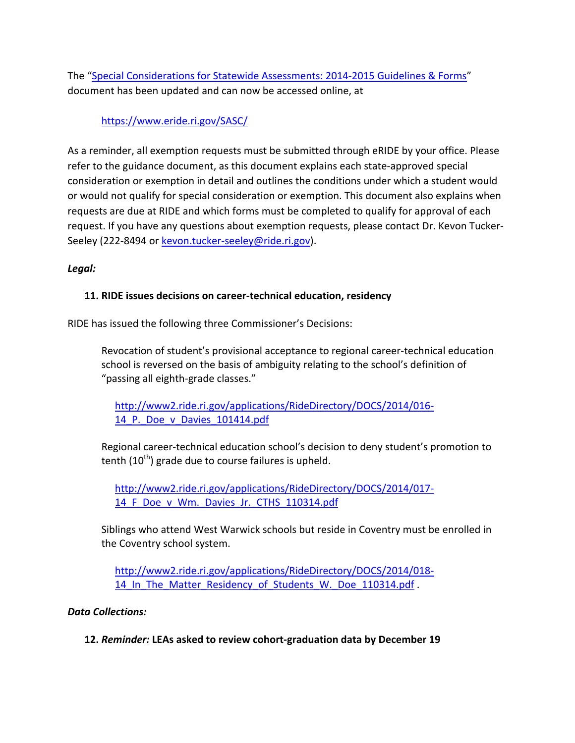The "Special Considerations for Statewide Assessments: 2014‐2015 Guidelines & Forms" document has been updated and can now be accessed online, at

https://www.eride.ri.gov/SASC/

As a reminder, all exemption requests must be submitted through eRIDE by your office. Please refer to the guidance document, as this document explains each state‐approved special consideration or exemption in detail and outlines the conditions under which a student would or would not qualify for special consideration or exemption. This document also explains when requests are due at RIDE and which forms must be completed to qualify for approval of each request. If you have any questions about exemption requests, please contact Dr. Kevon Tucker‐ Seeley (222-8494 or kevon.tucker-seeley@ride.ri.gov).

### *Legal:*

### **11. RIDE issues decisions on career‐technical education, residency**

RIDE has issued the following three Commissioner's Decisions:

Revocation of student's provisional acceptance to regional career‐technical education school is reversed on the basis of ambiguity relating to the school's definition of "passing all eighth‐grade classes."

http://www2.ride.ri.gov/applications/RideDirectory/DOCS/2014/016‐ 14\_P.\_Doe\_v\_Davies\_101414.pdf

Regional career‐technical education school's decision to deny student's promotion to tenth  $(10^{th})$  grade due to course failures is upheld.

http://www2.ride.ri.gov/applications/RideDirectory/DOCS/2014/017‐ 14 F Doe v Wm. Davies Jr. CTHS 110314.pdf

Siblings who attend West Warwick schools but reside in Coventry must be enrolled in the Coventry school system.

http://www2.ride.ri.gov/applications/RideDirectory/DOCS/2014/018‐ 14 In The Matter Residency of Students W. Doe 110314.pdf .

### *Data Collections:*

**12.** *Reminder:* **LEAs asked to review cohort‐graduation data by December 19**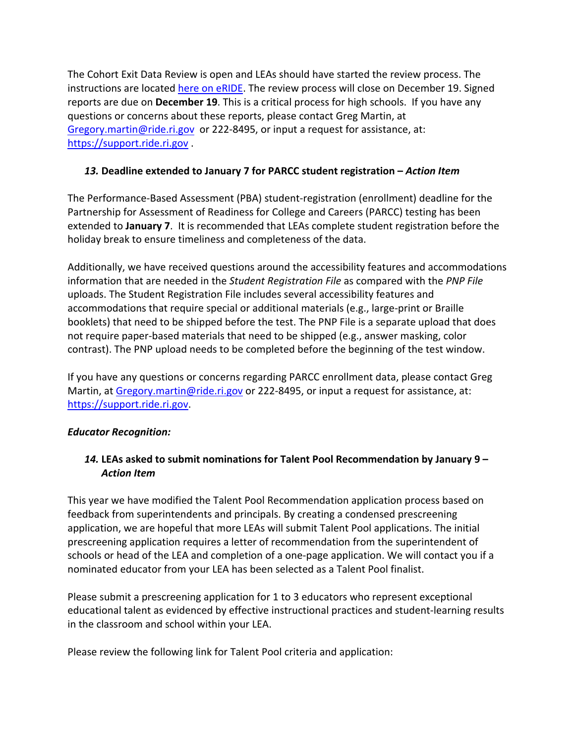The Cohort Exit Data Review is open and LEAs should have started the review process. The instructions are located here on eRIDE. The review process will close on December 19. Signed reports are due on **December 19**. This is a critical process for high schools. If you have any questions or concerns about these reports, please contact Greg Martin, at Gregory.martin@ride.ri.gov or 222-8495, or input a request for assistance, at: https://support.ride.ri.gov .

## *13.* **Deadline extended to January 7 for PARCC student registration –** *Action Item*

The Performance‐Based Assessment (PBA) student‐registration (enrollment) deadline for the Partnership for Assessment of Readiness for College and Careers (PARCC) testing has been extended to **January 7**. It is recommended that LEAs complete student registration before the holiday break to ensure timeliness and completeness of the data.

Additionally, we have received questions around the accessibility features and accommodations information that are needed in the *Student Registration File* as compared with the *PNP File* uploads. The Student Registration File includes several accessibility features and accommodations that require special or additional materials (e.g., large‐print or Braille booklets) that need to be shipped before the test. The PNP File is a separate upload that does not require paper‐based materials that need to be shipped (e.g., answer masking, color contrast). The PNP upload needs to be completed before the beginning of the test window.

If you have any questions or concerns regarding PARCC enrollment data, please contact Greg Martin, at Gregory.martin@ride.ri.gov or 222-8495, or input a request for assistance, at: https://support.ride.ri.gov.

## *Educator Recognition:*

# *14.* **LEAs asked to submit nominations for Talent Pool Recommendation by January 9 –** *Action Item*

This year we have modified the Talent Pool Recommendation application process based on feedback from superintendents and principals. By creating a condensed prescreening application, we are hopeful that more LEAs will submit Talent Pool applications. The initial prescreening application requires a letter of recommendation from the superintendent of schools or head of the LEA and completion of a one‐page application. We will contact you if a nominated educator from your LEA has been selected as a Talent Pool finalist.

Please submit a prescreening application for 1 to 3 educators who represent exceptional educational talent as evidenced by effective instructional practices and student‐learning results in the classroom and school within your LEA.

Please review the following link for Talent Pool criteria and application: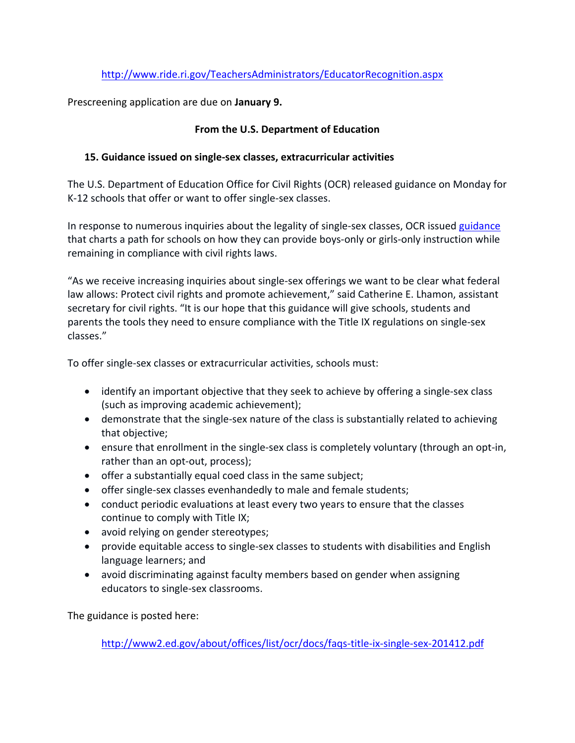# http://www.ride.ri.gov/TeachersAdministrators/EducatorRecognition.aspx

Prescreening application are due on **January 9.**

## **From the U.S. Department of Education**

## **15. Guidance issued on single‐sex classes, extracurricular activities**

The U.S. Department of Education Office for Civil Rights (OCR) released guidance on Monday for K-12 schools that offer or want to offer single-sex classes.

In response to numerous inquiries about the legality of single-sex classes, OCR issued guidance that charts a path for schools on how they can provide boys‐only or girls‐only instruction while remaining in compliance with civil rights laws.

"As we receive increasing inquiries about single‐sex offerings we want to be clear what federal law allows: Protect civil rights and promote achievement," said Catherine E. Lhamon, assistant secretary for civil rights. "It is our hope that this guidance will give schools, students and parents the tools they need to ensure compliance with the Title IX regulations on single‐sex classes."

To offer single‐sex classes or extracurricular activities, schools must:

- identify an important objective that they seek to achieve by offering a single-sex class (such as improving academic achievement);
- demonstrate that the single-sex nature of the class is substantially related to achieving that objective;
- ensure that enrollment in the single-sex class is completely voluntary (through an opt-in, rather than an opt-out, process);
- offer a substantially equal coed class in the same subject;
- offer single-sex classes evenhandedly to male and female students;
- conduct periodic evaluations at least every two years to ensure that the classes continue to comply with Title IX;
- avoid relying on gender stereotypes;
- provide equitable access to single-sex classes to students with disabilities and English language learners; and
- avoid discriminating against faculty members based on gender when assigning educators to single‐sex classrooms.

The guidance is posted here:

http://www2.ed.gov/about/offices/list/ocr/docs/faqs‐title‐ix‐single‐sex‐201412.pdf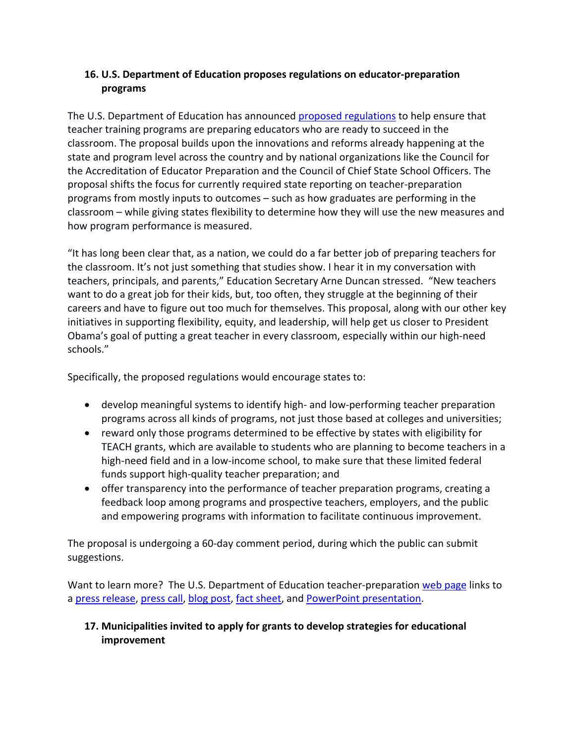# **16. U.S. Department of Education proposes regulations on educator‐preparation programs**

The U.S. Department of Education has announced proposed regulations to help ensure that teacher training programs are preparing educators who are ready to succeed in the classroom. The proposal builds upon the innovations and reforms already happening at the state and program level across the country and by national organizations like the Council for the Accreditation of Educator Preparation and the Council of Chief State School Officers. The proposal shifts the focus for currently required state reporting on teacher‐preparation programs from mostly inputs to outcomes – such as how graduates are performing in the classroom – while giving states flexibility to determine how they will use the new measures and how program performance is measured.

"It has long been clear that, as a nation, we could do a far better job of preparing teachers for the classroom. It's not just something that studies show. I hear it in my conversation with teachers, principals, and parents," Education Secretary Arne Duncan stressed. "New teachers want to do a great job for their kids, but, too often, they struggle at the beginning of their careers and have to figure out too much for themselves. This proposal, along with our other key initiatives in supporting flexibility, equity, and leadership, will help get us closer to President Obama's goal of putting a great teacher in every classroom, especially within our high‐need schools."

Specifically, the proposed regulations would encourage states to:

- develop meaningful systems to identify high- and low-performing teacher preparation programs across all kinds of programs, not just those based at colleges and universities;
- reward only those programs determined to be effective by states with eligibility for TEACH grants, which are available to students who are planning to become teachers in a high-need field and in a low-income school, to make sure that these limited federal funds support high‐quality teacher preparation; and
- offer transparency into the performance of teacher preparation programs, creating a feedback loop among programs and prospective teachers, employers, and the public and empowering programs with information to facilitate continuous improvement.

The proposal is undergoing a 60‐day comment period, during which the public can submit suggestions.

Want to learn more? The U.S. Department of Education teacher-preparation web page links to a press release, press call, blog post, fact sheet, and PowerPoint presentation.

## **17. Municipalities invited to apply for grants to develop strategies for educational improvement**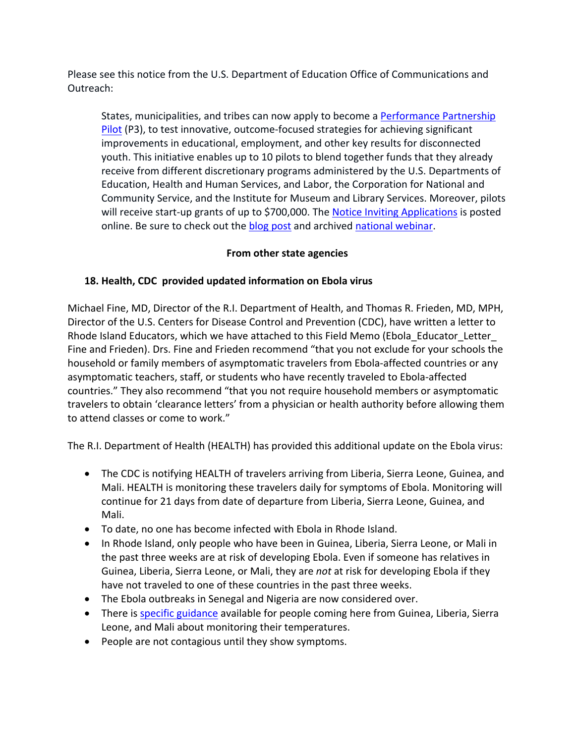Please see this notice from the U.S. Department of Education Office of Communications and Outreach:

States, municipalities, and tribes can now apply to become a Performance Partnership Pilot (P3), to test innovative, outcome‐focused strategies for achieving significant improvements in educational, employment, and other key results for disconnected youth. This initiative enables up to 10 pilots to blend together funds that they already receive from different discretionary programs administered by the U.S. Departments of Education, Health and Human Services, and Labor, the Corporation for National and Community Service, and the Institute for Museum and Library Services. Moreover, pilots will receive start-up grants of up to \$700,000. The Notice Inviting Applications is posted online. Be sure to check out the **blog post** and archived national webinar.

## **From other state agencies**

## **18. Health, CDC provided updated information on Ebola virus**

Michael Fine, MD, Director of the R.I. Department of Health, and Thomas R. Frieden, MD, MPH, Director of the U.S. Centers for Disease Control and Prevention (CDC), have written a letter to Rhode Island Educators, which we have attached to this Field Memo (Ebola\_Educator\_Letter\_ Fine and Frieden). Drs. Fine and Frieden recommend "that you not exclude for your schools the household or family members of asymptomatic travelers from Ebola‐affected countries or any asymptomatic teachers, staff, or students who have recently traveled to Ebola‐affected countries." They also recommend "that you not require household members or asymptomatic travelers to obtain 'clearance letters' from a physician or health authority before allowing them to attend classes or come to work."

The R.I. Department of Health (HEALTH) has provided this additional update on the Ebola virus:

- The CDC is notifying HEALTH of travelers arriving from Liberia, Sierra Leone, Guinea, and Mali. HEALTH is monitoring these travelers daily for symptoms of Ebola. Monitoring will continue for 21 days from date of departure from Liberia, Sierra Leone, Guinea, and Mali.
- To date, no one has become infected with Ebola in Rhode Island.
- In Rhode Island, only people who have been in Guinea, Liberia, Sierra Leone, or Mali in the past three weeks are at risk of developing Ebola. Even if someone has relatives in Guinea, Liberia, Sierra Leone, or Mali, they are *not* at risk for developing Ebola if they have not traveled to one of these countries in the past three weeks.
- The Ebola outbreaks in Senegal and Nigeria are now considered over.
- There is specific guidance available for people coming here from Guinea, Liberia, Sierra Leone, and Mali about monitoring their temperatures.
- People are not contagious until they show symptoms.